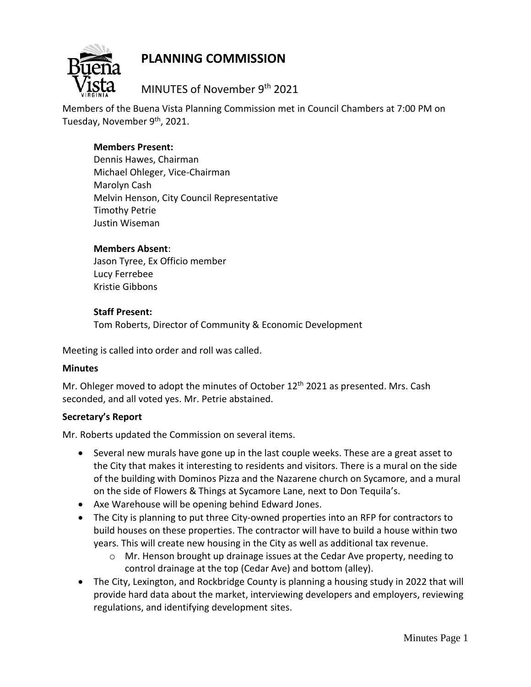# **PLANNING COMMISSION**



MINUTES of November 9th 2021

Members of the Buena Vista Planning Commission met in Council Chambers at 7:00 PM on Tuesday, November 9<sup>th</sup>, 2021.

# **Members Present:**

Dennis Hawes, Chairman Michael Ohleger, Vice-Chairman Marolyn Cash Melvin Henson, City Council Representative Timothy Petrie Justin Wiseman

## **Members Absent**:

Jason Tyree, Ex Officio member Lucy Ferrebee Kristie Gibbons

## **Staff Present:**

Tom Roberts, Director of Community & Economic Development

Meeting is called into order and roll was called.

## **Minutes**

Mr. Ohleger moved to adopt the minutes of October 12<sup>th</sup> 2021 as presented. Mrs. Cash seconded, and all voted yes. Mr. Petrie abstained.

## **Secretary's Report**

Mr. Roberts updated the Commission on several items.

- Several new murals have gone up in the last couple weeks. These are a great asset to the City that makes it interesting to residents and visitors. There is a mural on the side of the building with Dominos Pizza and the Nazarene church on Sycamore, and a mural on the side of Flowers & Things at Sycamore Lane, next to Don Tequila's.
- Axe Warehouse will be opening behind Edward Jones.
- The City is planning to put three City-owned properties into an RFP for contractors to build houses on these properties. The contractor will have to build a house within two years. This will create new housing in the City as well as additional tax revenue.
	- o Mr. Henson brought up drainage issues at the Cedar Ave property, needing to control drainage at the top (Cedar Ave) and bottom (alley).
- The City, Lexington, and Rockbridge County is planning a housing study in 2022 that will provide hard data about the market, interviewing developers and employers, reviewing regulations, and identifying development sites.